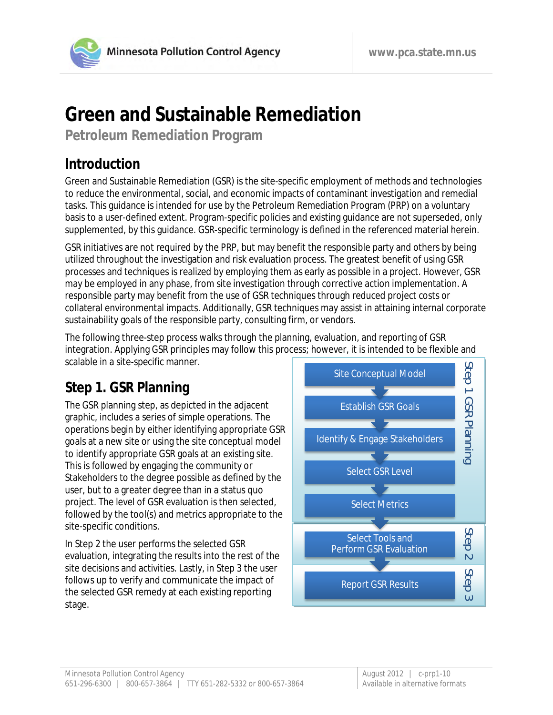# **Green and Sustainable Remediation**

**Petroleum Remediation Program**

## **Introduction**

Green and Sustainable Remediation (GSR) is the site-specific employment of methods and technologies to reduce the environmental, social, and economic impacts of contaminant investigation and remedial tasks. This guidance is intended for use by the Petroleum Remediation Program (PRP) on a voluntary basis to a user-defined extent. Program-specific policies and existing guidance are not superseded, only supplemented, by this guidance. GSR-specific terminology is defined in the referenced material herein.

GSR initiatives are not required by the PRP, but may benefit the responsible party and others by being utilized throughout the investigation and risk evaluation process. The greatest benefit of using GSR processes and techniques is realized by employing them as early as possible in a project. However, GSR may be employed in any phase, from site investigation through corrective action implementation. A responsible party may benefit from the use of GSR techniques through reduced project costs or collateral environmental impacts. Additionally, GSR techniques may assist in attaining internal corporate sustainability goals of the responsible party, consulting firm, or vendors.

The following three-step process walks through the planning, evaluation, and reporting of GSR integration. Applying GSR principles may follow this process; however, it is intended to be flexible and scalable in a site-specific manner.

## **Step 1. GSR Planning**

The GSR planning step, as depicted in the adjacent graphic, includes a series of simple operations. The operations begin by either identifying appropriate GSR goals at a new site or using the site conceptual model to identify appropriate GSR goals at an existing site. This is followed by engaging the community or Stakeholders to the degree possible as defined by the user, but to a greater degree than in a status quo project. The level of GSR evaluation is then selected, followed by the tool(s) and metrics appropriate to the site-specific conditions.

In Step 2 the user performs the selected GSR evaluation, integrating the results into the rest of the site decisions and activities. Lastly, in Step 3 the user follows up to verify and communicate the impact of the selected GSR remedy at each existing reporting stage.

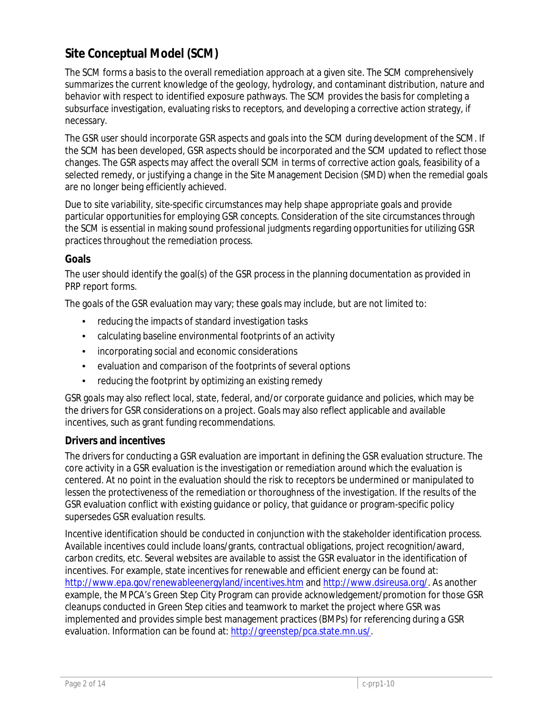## **Site Conceptual Model (SCM)**

The SCM forms a basis to the overall remediation approach at a given site. The SCM comprehensively summarizes the current knowledge of the geology, hydrology, and contaminant distribution, nature and behavior with respect to identified exposure pathways. The SCM provides the basis for completing a subsurface investigation, evaluating risks to receptors, and developing a corrective action strategy, if necessary.

The GSR user should incorporate GSR aspects and goals into the SCM during development of the SCM. If the SCM has been developed, GSR aspects should be incorporated and the SCM updated to reflect those changes. The GSR aspects may affect the overall SCM in terms of corrective action goals, feasibility of a selected remedy, or justifying a change in the Site Management Decision (SMD) when the remedial goals are no longer being efficiently achieved.

Due to site variability, site-specific circumstances may help shape appropriate goals and provide particular opportunities for employing GSR concepts. Consideration of the site circumstances through the SCM is essential in making sound professional judgments regarding opportunities for utilizing GSR practices throughout the remediation process.

#### **Goals**

The user should identify the goal(s) of the GSR process in the planning documentation as provided in PRP report forms.

The goals of the GSR evaluation may vary; these goals may include, but are not limited to:

- reducing the impacts of standard investigation tasks
- calculating baseline environmental footprints of an activity
- incorporating social and economic considerations ä,
- evaluation and comparison of the footprints of several options ä,
- reducing the footprint by optimizing an existing remedy

GSR goals may also reflect local, state, federal, and/or corporate guidance and policies, which may be the drivers for GSR considerations on a project. Goals may also reflect applicable and available incentives, such as grant funding recommendations.

#### **Drivers and incentives**

The drivers for conducting a GSR evaluation are important in defining the GSR evaluation structure. The core activity in a GSR evaluation is the investigation or remediation around which the evaluation is centered. At no point in the evaluation should the risk to receptors be undermined or manipulated to lessen the protectiveness of the remediation or thoroughness of the investigation. If the results of the GSR evaluation conflict with existing guidance or policy, that guidance or program-specific policy supersedes GSR evaluation results.

Incentive identification should be conducted in conjunction with the stakeholder identification process. Available incentives could include loans/grants, contractual obligations, project recognition/award, carbon credits, etc. Several websites are available to assist the GSR evaluator in the identification of incentives. For example, state incentives for renewable and efficient energy can be found at: <http://www.epa.gov/renewableenergyland/incentives.htm> and [http://www.dsireusa.org/.](http://www.dsireusa.org/) As another example, the MPCA's Green Step City Program can provide acknowledgement/promotion for those GSR cleanups conducted in Green Step cities and teamwork to market the project where GSR was implemented and provides simple best management practices (BMPs) for referencing during a GSR evaluation. Information can be found at[: http://greenstep/pca.state.mn.us/.](http://greenstep/pca.state.mn.us/)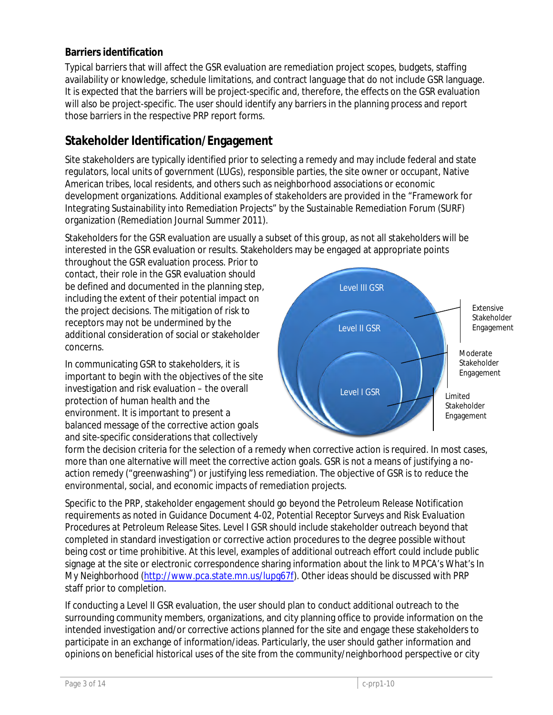#### **Barriers identification**

Typical barriers that will affect the GSR evaluation are remediation project scopes, budgets, staffing availability or knowledge, schedule limitations, and contract language that do not include GSR language. It is expected that the barriers will be project-specific and, therefore, the effects on the GSR evaluation will also be project-specific. The user should identify any barriers in the planning process and report those barriers in the respective PRP report forms.

### **Stakeholder Identification/Engagement**

Site stakeholders are typically identified prior to selecting a remedy and may include federal and state regulators, local units of government (LUGs), responsible parties, the site owner or occupant, Native American tribes, local residents, and others such as neighborhood associations or economic development organizations. Additional examples of stakeholders are provided in the "Framework for Integrating Sustainability into Remediation Projects" by the Sustainable Remediation Forum (SURF) organization (Remediation Journal Summer 2011).

Stakeholders for the GSR evaluation are usually a subset of this group, as not all stakeholders will be interested in the GSR evaluation or results. Stakeholders may be engaged at appropriate points

throughout the GSR evaluation process. Prior to contact, their role in the GSR evaluation should be defined and documented in the planning step, including the extent of their potential impact on the project decisions. The mitigation of risk to receptors may not be undermined by the additional consideration of social or stakeholder concerns.

In communicating GSR to stakeholders, it is important to begin with the objectives of the site investigation and risk evaluation – the overall protection of human health and the environment. It is important to present a balanced message of the corrective action goals and site-specific considerations that collectively



form the decision criteria for the selection of a remedy when corrective action is required. In most cases, more than one alternative will meet the corrective action goals. GSR is not a means of justifying a noaction remedy ("greenwashing") or justifying less remediation. The objective of GSR is to reduce the environmental, social, and economic impacts of remediation projects.

Specific to the PRP, stakeholder engagement should go beyond the Petroleum Release Notification requirements as noted in Guidance Document 4-02*, Potential Receptor Surveys and Risk Evaluation Procedures at Petroleum Release Sites*. Level I GSR should include stakeholder outreach beyond that completed in standard investigation or corrective action procedures to the degree possible without being cost or time prohibitive. At this level, examples of additional outreach effort could include public signage at the site or electronic correspondence sharing information about the link to MPCA's What's In My Neighborhood [\(http://www.pca.state.mn.us/lupg67f\)](http://www.pca.state.mn.us/lupg67f). Other ideas should be discussed with PRP staff prior to completion.

If conducting a Level II GSR evaluation, the user should plan to conduct additional outreach to the surrounding community members, organizations, and city planning office to provide information on the intended investigation and/or corrective actions planned for the site and engage these stakeholders to participate in an exchange of information/ideas. Particularly, the user should gather information and opinions on beneficial historical uses of the site from the community/neighborhood perspective or city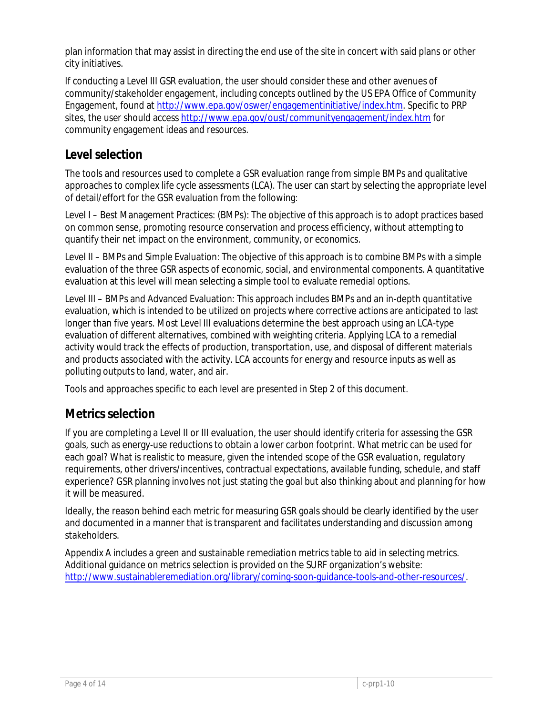plan information that may assist in directing the end use of the site in concert with said plans or other city initiatives.

If conducting a Level III GSR evaluation, the user should consider these and other avenues of community/stakeholder engagement, including concepts outlined by the US EPA Office of Community Engagement, found a[t http://www.epa.gov/oswer/engagementinitiative/index.htm.](http://www.epa.gov/oswer/engagementinitiative/index.htm) Specific to PRP sites, the user should access<http://www.epa.gov/oust/communityengagement/index.htm> for community engagement ideas and resources.

### **Level selection**

The tools and resources used to complete a GSR evaluation range from simple BMPs and qualitative approaches to complex life cycle assessments (LCA). The user can start by selecting the appropriate level of detail/effort for the GSR evaluation from the following:

Level I – Best Management Practices: (BMPs): The objective of this approach is to adopt practices based on common sense, promoting resource conservation and process efficiency, without attempting to quantify their net impact on the environment, community, or economics.

Level II – BMPs and Simple Evaluation: The objective of this approach is to combine BMPs with a simple evaluation of the three GSR aspects of economic, social, and environmental components. A quantitative evaluation at this level will mean selecting a simple tool to evaluate remedial options.

Level III – BMPs and Advanced Evaluation: This approach includes BMPs and an in-depth quantitative evaluation, which is intended to be utilized on projects where corrective actions are anticipated to last longer than five years. Most Level III evaluations determine the best approach using an LCA-type evaluation of different alternatives, combined with weighting criteria. Applying LCA to a remedial activity would track the effects of production, transportation, use, and disposal of different materials and products associated with the activity. LCA accounts for energy and resource inputs as well as polluting outputs to land, water, and air.

Tools and approaches specific to each level are presented in Step 2 of this document.

### **Metrics selection**

If you are completing a Level II or III evaluation, the user should identify criteria for assessing the GSR goals, such as energy-use reductions to obtain a lower carbon footprint. What metric can be used for each goal? What is realistic to measure, given the intended scope of the GSR evaluation, regulatory requirements, other drivers/incentives, contractual expectations, available funding, schedule, and staff experience? GSR planning involves not just stating the goal but also thinking about and planning for how it will be measured.

Ideally, the reason behind each metric for measuring GSR goals should be clearly identified by the user and documented in a manner that is transparent and facilitates understanding and discussion among stakeholders.

Appendix A includes a green and sustainable remediation metrics table to aid in selecting metrics. Additional guidance on metrics selection is provided on the SURF organization's website: [http://www.sustainableremediation.org/library/coming-soon-guidance-tools-and-other-resources/.](http://www.sustainableremediation.org/library/coming-soon-guidance-tools-and-other-resources/)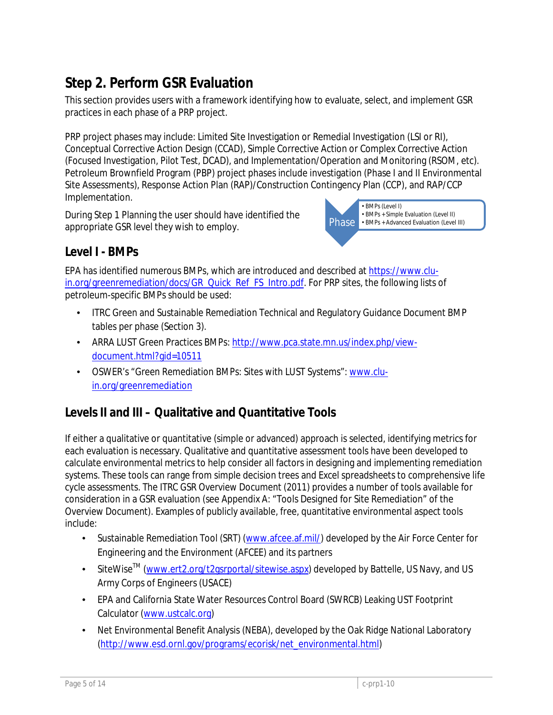## **Step 2. Perform GSR Evaluation**

This section provides users with a framework identifying how to evaluate, select, and implement GSR practices in each phase of a PRP project.

PRP project phases may include: Limited Site Investigation or Remedial Investigation (LSI or RI), Conceptual Corrective Action Design (CCAD), Simple Corrective Action or Complex Corrective Action (Focused Investigation, Pilot Test, DCAD), and Implementation/Operation and Monitoring (RSOM, etc). Petroleum Brownfield Program (PBP) project phases include investigation (Phase I and II Environmental Site Assessments), Response Action Plan (RAP)/Construction Contingency Plan (CCP), and RAP/CCP Implementation.

During Step 1 Planning the user should have identified the appropriate GSR level they wish to employ.



### **Level I - BMPs**

EPA has identified numerous BMPs, which are introduced and described at [https://www.clu](https://www.clu-in.org/greenremediation/docs/GR_Quick_Ref_FS_Intro.pdf)[in.org/greenremediation/docs/GR\\_Quick\\_Ref\\_FS\\_Intro.pdf.](https://www.clu-in.org/greenremediation/docs/GR_Quick_Ref_FS_Intro.pdf) For PRP sites, the following lists of petroleum-specific BMPs should be used:

- ITRC Green and Sustainable Remediation Technical and Regulatory Guidance Document BMP tables per phase (Section 3).
- ARRA LUST Green Practices BMPs: [http://www.pca.state.mn.us/index.php/view](http://www.pca.state.mn.us/index.php/view-document.html?gid=10511)[document.html?gid=10511](http://www.pca.state.mn.us/index.php/view-document.html?gid=10511)
- OSWER's "Green Remediation BMPs: Sites with LUST Systems": [www.clu](http://www.clu-in.org/greenremediation)[in.org/greenremediation](http://www.clu-in.org/greenremediation)

## **Levels II and III – Qualitative and Quantitative Tools**

If either a qualitative or quantitative (simple or advanced) approach is selected, identifying metrics for each evaluation is necessary. Qualitative and quantitative assessment tools have been developed to calculate environmental metrics to help consider all factors in designing and implementing remediation systems. These tools can range from simple decision trees and Excel spreadsheets to comprehensive life cycle assessments. The ITRC GSR Overview Document (2011) provides a number of tools available for consideration in a GSR evaluation (see Appendix A: "Tools Designed for Site Remediation" of the Overview Document). Examples of publicly available, free, quantitative environmental aspect tools include:

- L. Sustainable Remediation Tool (SRT) [\(www.afcee.af.mil/\)](http://www.afcee.af.mil/) developed by the Air Force Center for Engineering and the Environment (AFCEE) and its partners
- SiteWise<sup>™</sup> [\(www.ert2.org/t2gsrportal/sitewise.aspx\)](http://www.ert2.org/t2gsrportal/sitewise.aspx) developed by Battelle, US Navy, and US L. Army Corps of Engineers (USACE)
- EPA and California State Water Resources Control Board (SWRCB) Leaking UST Footprint Calculator [\(www.ustcalc.org\)](http://www.ustcalc.org/)
- Net Environmental Benefit Analysis (NEBA), developed by the Oak Ridge National Laboratory ä, [\(http://www.esd.ornl.gov/programs/ecorisk/net\\_environmental.html\)](http://www.esd.ornl.gov/programs/ecorisk/net_environmental.html)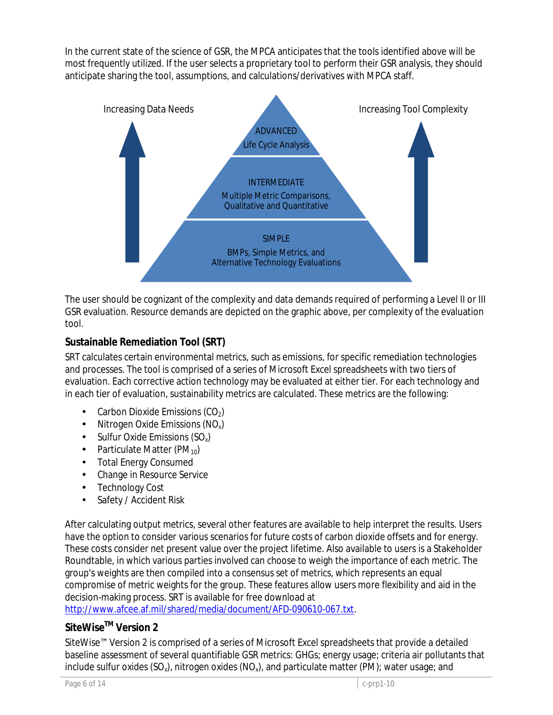In the current state of the science of GSR, the MPCA anticipates that the tools identified above will be most frequently utilized. If the user selects a proprietary tool to perform their GSR analysis, they should anticipate sharing the tool, assumptions, and calculations/derivatives with MPCA staff.



The user should be cognizant of the complexity and data demands required of performing a Level II or III GSR evaluation. Resource demands are depicted on the graphic above, per complexity of the evaluation tool.

#### **Sustainable Remediation Tool (SRT)**

SRT calculates certain environmental metrics, such as emissions, for specific remediation technologies and processes. The tool is comprised of a series of Microsoft Excel spreadsheets with two tiers of evaluation. Each corrective action technology may be evaluated at either tier. For each technology and in each tier of evaluation, sustainability metrics are calculated. These metrics are the following:

- Carbon Dioxide Emissions  $(CO<sub>2</sub>)$
- Nitrogen Oxide Emissions (NOx) ä,
- Sulfur Oxide Emissions  $(SO_x)$
- Particulate Matter (PM<sub>10</sub>)  $\overline{a}$
- Total Energy Consumed ä,
- Change in Resource Service ÷.
- Technology Cost ÷.
- Safety / Accident Risk

After calculating output metrics, several other features are available to help interpret the results. Users have the option to consider various scenarios for future costs of carbon dioxide offsets and for energy. These costs consider net present value over the project lifetime. Also available to users is a Stakeholder Roundtable, in which various parties involved can choose to weigh the importance of each metric. The group's weights are then compiled into a consensus set of metrics, which represents an equal compromise of metric weights for the group. These features allow users more flexibility and aid in the decision-making process. SRT is available for free download at

[http://www.afcee.af.mil/shared/media/document/AFD-090610-067.txt.](http://www.afcee.af.mil/shared/media/document/AFD-090610-067.txt)

### **SiteWiseTM Version 2**

SiteWise™ Version 2 is comprised of a series of Microsoft Excel spreadsheets that provide a detailed baseline assessment of several quantifiable GSR metrics: GHGs; energy usage; criteria air pollutants that include sulfur oxides  $(SO_x)$ , nitrogen oxides  $(NO_x)$ , and particulate matter (PM); water usage; and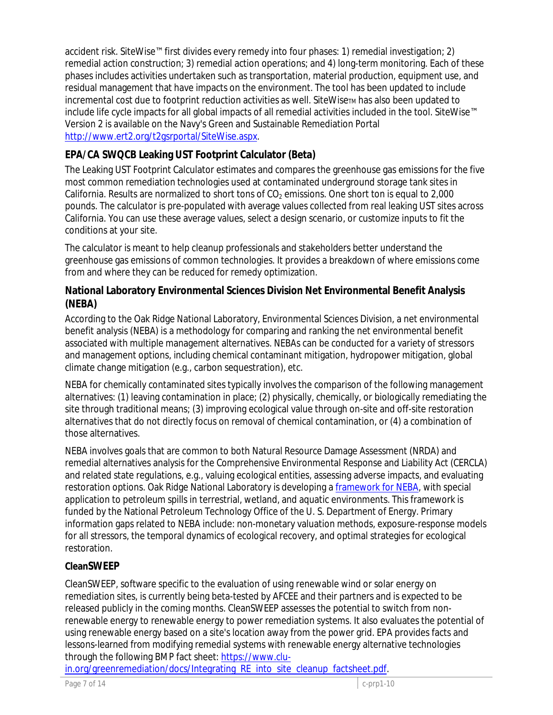accident risk. SiteWise™ first divides every remedy into four phases: 1) remedial investigation; 2) remedial action construction; 3) remedial action operations; and 4) long-term monitoring. Each of these phases includes activities undertaken such as transportation, material production, equipment use, and residual management that have impacts on the environment. The tool has been updated to include incremental cost due to footprint reduction activities as well. SiteWise<sub>TM</sub> has also been updated to include life cycle impacts for all global impacts of all remedial activities included in the tool. SiteWise™ Version 2 is available on the Navy's Green and Sustainable Remediation Portal [http://www.ert2.org/t2gsrportal/SiteWise.aspx.](http://www.ert2.org/t2gsrportal/SiteWise.aspx)

#### **EPA/CA SWQCB Leaking UST Footprint Calculator (Beta)**

The Leaking UST Footprint Calculator estimates and compares the greenhouse gas emissions for the five most common remediation technologies used at contaminated underground storage tank sites in California. Results are normalized to short tons of  $CO<sub>2</sub>$  emissions. One short ton is equal to 2,000 pounds. The calculator is pre-populated with average values collected from real leaking UST sites across California. You can use these average values, select a design scenario, or customize inputs to fit the conditions at your site.

The calculator is meant to help cleanup professionals and stakeholders better understand the greenhouse gas emissions of common technologies. It provides a breakdown of where emissions come from and where they can be reduced for remedy optimization.

#### **National Laboratory Environmental Sciences Division Net Environmental Benefit Analysis (NEBA)**

According to the Oak Ridge National Laboratory, Environmental Sciences Division, a net environmental benefit analysis (NEBA) is a methodology for comparing and ranking the net environmental benefit associated with multiple management alternatives. NEBAs can be conducted for a variety of stressors and management options, including chemical contaminant mitigation, hydropower mitigation, global climate change mitigation (e.g., carbon sequestration), etc.

NEBA for chemically contaminated sites typically involves the comparison of the following management alternatives: (1) leaving contamination in place; (2) physically, chemically, or biologically remediating the site through traditional means; (3) improving ecological value through on-site and off-site restoration alternatives that do not directly focus on removal of chemical contamination, or (4) a combination of those alternatives.

NEBA involves goals that are common to both Natural Resource Damage Assessment (NRDA) and remedial alternatives analysis for the Comprehensive Environmental Response and Liability Act (CERCLA) and related state regulations, e.g., valuing ecological entities, assessing adverse impacts, and evaluating restoration options. Oak Ridge National Laboratory is developing [a framework for NEBA,](http://www.esd.ornl.gov/programs/ecorisk/images/neba_flowchart.gif) with special application to petroleum spills in terrestrial, wetland, and aquatic environments. This framework is funded by the National Petroleum Technology Office of the U. S. Department of Energy. Primary information gaps related to NEBA include: non-monetary valuation methods, exposure-response models for all stressors, the temporal dynamics of ecological recovery, and optimal strategies for ecological restoration.

#### **CleanSWEEP**

CleanSWEEP, software specific to the evaluation of using renewable wind or solar energy on remediation sites, is currently being beta-tested by AFCEE and their partners and is expected to be released publicly in the coming months. CleanSWEEP assesses the potential to switch from nonrenewable energy to renewable energy to power remediation systems. It also evaluates the potential of using renewable energy based on a site's location away from the power grid. EPA provides facts and lessons-learned from modifying remedial systems with renewable energy alternative technologies through the following BMP fact sheet[: https://www.clu-](https://www.clu-in.org/greenremediation/docs/Integrating_RE_into_site_cleanup_factsheet.pdf)

[in.org/greenremediation/docs/Integrating\\_RE\\_into\\_site\\_cleanup\\_factsheet.pdf.](https://www.clu-in.org/greenremediation/docs/Integrating_RE_into_site_cleanup_factsheet.pdf)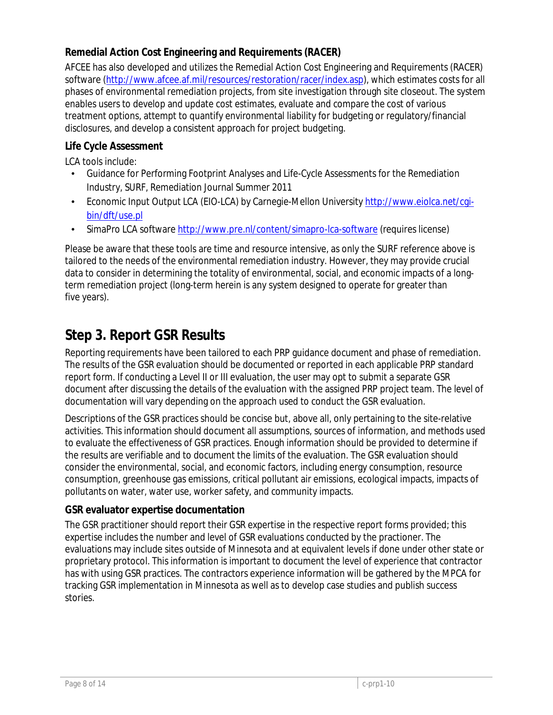#### **Remedial Action Cost Engineering and Requirements (RACER)**

AFCEE has also developed and utilizes the Remedial Action Cost Engineering and Requirements (RACER) software [\(http://www.afcee.af.mil/resources/restoration/racer/index.asp\)](http://www.afcee.af.mil/resources/restoration/racer/index.asp), which estimates costs for all phases of environmental remediation projects, from site investigation through site closeout. The system enables users to develop and update cost estimates, evaluate and compare the cost of various treatment options, attempt to quantify environmental liability for budgeting or regulatory/financial disclosures, and develop a consistent approach for project budgeting.

#### **Life Cycle Assessment**

LCA tools include:

- Guidance for Performing Footprint Analyses and Life-Cycle Assessments for the Remediation Industry, SURF, Remediation Journal Summer 2011
- Economic Input Output LCA (EIO-LCA) by Carnegie-Mellon University [http://www.eiolca.net/cgi](http://www.eiolca.net/cgi-bin/dft/use.pl)t, [bin/dft/use.pl](http://www.eiolca.net/cgi-bin/dft/use.pl)
- SimaPro LCA software<http://www.pre.nl/content/simapro-lca-software> (requires license)

Please be aware that these tools are time and resource intensive, as only the SURF reference above is tailored to the needs of the environmental remediation industry. However, they may provide crucial data to consider in determining the totality of environmental, social, and economic impacts of a longterm remediation project (long-term herein is any system designed to operate for greater than five years).

## **Step 3. Report GSR Results**

Reporting requirements have been tailored to each PRP guidance document and phase of remediation. The results of the GSR evaluation should be documented or reported in each applicable PRP standard report form. If conducting a Level II or III evaluation, the user may opt to submit a separate GSR document after discussing the details of the evaluation with the assigned PRP project team. The level of documentation will vary depending on the approach used to conduct the GSR evaluation.

Descriptions of the GSR practices should be concise but, above all, only pertaining to the site-relative activities. This information should document all assumptions, sources of information, and methods used to evaluate the effectiveness of GSR practices. Enough information should be provided to determine if the results are verifiable and to document the limits of the evaluation. The GSR evaluation should consider the environmental, social, and economic factors, including energy consumption, resource consumption, greenhouse gas emissions, critical pollutant air emissions, ecological impacts, impacts of pollutants on water, water use, worker safety, and community impacts.

#### **GSR evaluator expertise documentation**

The GSR practitioner should report their GSR expertise in the respective report forms provided; this expertise includes the number and level of GSR evaluations conducted by the practioner. The evaluations may include sites outside of Minnesota and at equivalent levels if done under other state or proprietary protocol. This information is important to document the level of experience that contractor has with using GSR practices. The contractors experience information will be gathered by the MPCA for tracking GSR implementation in Minnesota as well as to develop case studies and publish success stories.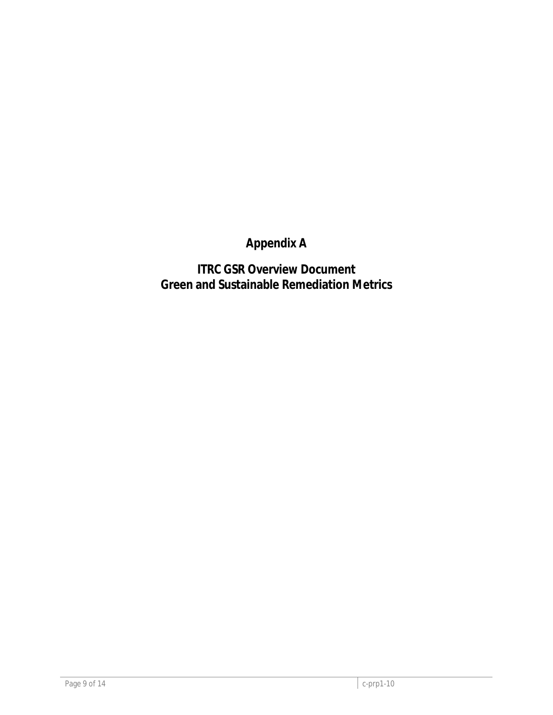## **Appendix A**

**ITRC GSR Overview Document Green and Sustainable Remediation Metrics**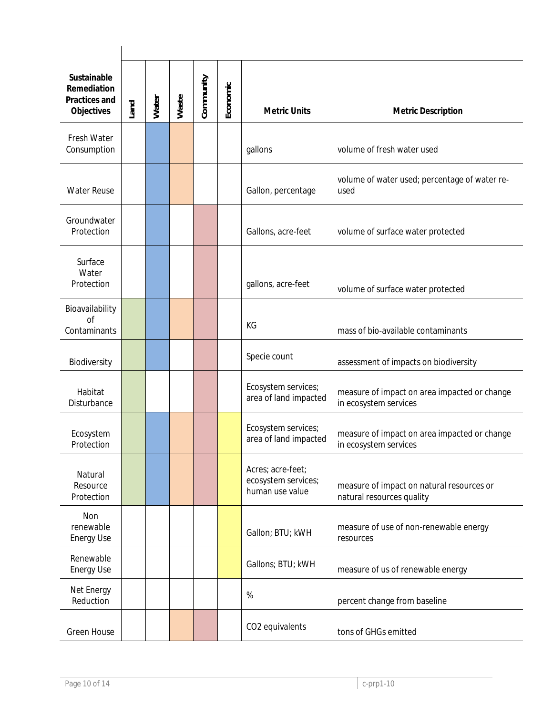| Sustainable<br>Remediation<br>Practices and<br>Objectives | Land | Water | Waste | Community | Economic | <b>Metric Units</b>                                         | <b>Metric Description</b>                                              |
|-----------------------------------------------------------|------|-------|-------|-----------|----------|-------------------------------------------------------------|------------------------------------------------------------------------|
| Fresh Water<br>Consumption                                |      |       |       |           |          | gallons                                                     | volume of fresh water used                                             |
| <b>Water Reuse</b>                                        |      |       |       |           |          | Gallon, percentage                                          | volume of water used; percentage of water re-<br>used                  |
| Groundwater<br>Protection                                 |      |       |       |           |          | Gallons, acre-feet                                          | volume of surface water protected                                      |
| Surface<br>Water<br>Protection                            |      |       |       |           |          | gallons, acre-feet                                          | volume of surface water protected                                      |
| Bioavailability<br>of<br>Contaminants                     |      |       |       |           |          | KG                                                          | mass of bio-available contaminants                                     |
| Biodiversity                                              |      |       |       |           |          | Specie count                                                | assessment of impacts on biodiversity                                  |
| Habitat<br>Disturbance                                    |      |       |       |           |          | Ecosystem services;<br>area of land impacted                | measure of impact on area impacted or change<br>in ecosystem services  |
| Ecosystem<br>Protection                                   |      |       |       |           |          | Ecosystem services;<br>area of land impacted                | measure of impact on area impacted or change<br>in ecosystem services  |
| Natural<br>Resource<br>Protection                         |      |       |       |           |          | Acres; acre-feet;<br>ecosystem services;<br>human use value | measure of impact on natural resources or<br>natural resources quality |
| Non<br>renewable<br><b>Energy Use</b>                     |      |       |       |           |          | Gallon; BTU; kWH                                            | measure of use of non-renewable energy<br>resources                    |
| Renewable<br><b>Energy Use</b>                            |      |       |       |           |          | Gallons; BTU; kWH                                           | measure of us of renewable energy                                      |
| Net Energy<br>Reduction                                   |      |       |       |           |          | $\%$                                                        | percent change from baseline                                           |
| <b>Green House</b>                                        |      |       |       |           |          | CO2 equivalents                                             | tons of GHGs emitted                                                   |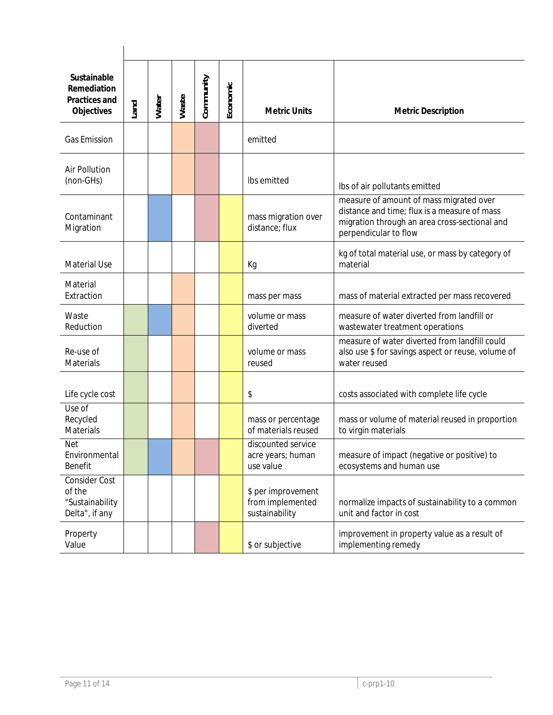| Sustainable<br>Remediation<br><b>Practices and</b><br>Objectives | Land | Water | Waste | Community | Economic | <b>Metric Units</b>                                      | <b>Metric Description</b>                                                                                                                                         |
|------------------------------------------------------------------|------|-------|-------|-----------|----------|----------------------------------------------------------|-------------------------------------------------------------------------------------------------------------------------------------------------------------------|
| <b>Gas Emission</b>                                              |      |       |       |           |          | emitted                                                  |                                                                                                                                                                   |
| <b>Air Pollution</b><br>(non-GHs)                                |      |       |       |           |          | Ibs emitted                                              | Ibs of air pollutants emitted                                                                                                                                     |
| Contaminant<br>Migration                                         |      |       |       |           |          | mass migration over<br>distance; flux                    | measure of amount of mass migrated over<br>distance and time; flux is a measure of mass<br>migration through an area cross-sectional and<br>perpendicular to flow |
| <b>Material Use</b>                                              |      |       |       |           |          | Кg                                                       | kg of total material use, or mass by category of<br>material                                                                                                      |
| Material<br>Extraction                                           |      |       |       |           |          | mass per mass                                            | mass of material extracted per mass recovered                                                                                                                     |
| Waste<br>Reduction                                               |      |       |       |           |          | volume or mass<br>diverted                               | measure of water diverted from landfill or<br>wastewater treatment operations                                                                                     |
| Re-use of<br><b>Materials</b>                                    |      |       |       |           |          | volume or mass<br>reused                                 | measure of water diverted from landfill could<br>also use \$ for savings aspect or reuse, volume of<br>water reused                                               |
| Life cycle cost                                                  |      |       |       |           |          | \$                                                       | costs associated with complete life cycle                                                                                                                         |
| Use of<br>Recycled<br><b>Materials</b>                           |      |       |       |           |          | mass or percentage<br>of materials reused                | mass or volume of material reused in proportion<br>to virgin materials                                                                                            |
| <b>Net</b><br>Environmental<br><b>Benefit</b>                    |      |       |       |           |          | discounted service<br>acre years; human<br>use value     | measure of impact (negative or positive) to<br>ecosystems and human use                                                                                           |
| Consider Cost<br>of the<br>"Sustainability<br>Delta", if any     |      |       |       |           |          | \$ per improvement<br>from implemented<br>sustainability | normalize impacts of sustainability to a common<br>unit and factor in cost                                                                                        |
| Property<br>Value                                                |      |       |       |           |          | \$ or subjective                                         | improvement in property value as a result of<br>implementing remedy                                                                                               |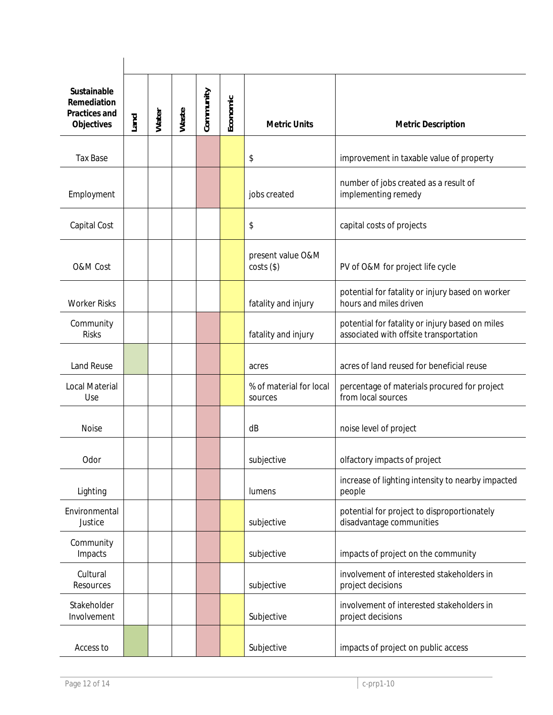| Sustainable<br>Remediation<br><b>Practices and</b><br>Objectives | Land | Water | Waste | Community | Economic | <b>Metric Units</b>                | <b>Metric Description</b>                                                                 |
|------------------------------------------------------------------|------|-------|-------|-----------|----------|------------------------------------|-------------------------------------------------------------------------------------------|
| <b>Tax Base</b>                                                  |      |       |       |           |          | \$                                 | improvement in taxable value of property                                                  |
| Employment                                                       |      |       |       |           |          | jobs created                       | number of jobs created as a result of<br>implementing remedy                              |
| Capital Cost                                                     |      |       |       |           |          | \$                                 | capital costs of projects                                                                 |
| O&M Cost                                                         |      |       |       |           |          | present value O&M<br>$costs$ (\$)  | PV of O&M for project life cycle                                                          |
| <b>Worker Risks</b>                                              |      |       |       |           |          | fatality and injury                | potential for fatality or injury based on worker<br>hours and miles driven                |
| Community<br><b>Risks</b>                                        |      |       |       |           |          | fatality and injury                | potential for fatality or injury based on miles<br>associated with offsite transportation |
| <b>Land Reuse</b>                                                |      |       |       |           |          | acres                              | acres of land reused for beneficial reuse                                                 |
| <b>Local Material</b><br>Use                                     |      |       |       |           |          | % of material for local<br>sources | percentage of materials procured for project<br>from local sources                        |
| <b>Noise</b>                                                     |      |       |       |           |          | dB                                 | noise level of project                                                                    |
| Odor                                                             |      |       |       |           |          | subjective                         | olfactory impacts of project                                                              |
| Lighting                                                         |      |       |       |           |          | lumens                             | increase of lighting intensity to nearby impacted<br>people                               |
| Environmental<br>Justice                                         |      |       |       |           |          | subjective                         | potential for project to disproportionately<br>disadvantage communities                   |
| Community<br>Impacts                                             |      |       |       |           |          | subjective                         | impacts of project on the community                                                       |
| Cultural<br>Resources                                            |      |       |       |           |          | subjective                         | involvement of interested stakeholders in<br>project decisions                            |
| Stakeholder<br>Involvement                                       |      |       |       |           |          | Subjective                         | involvement of interested stakeholders in<br>project decisions                            |
| Access to                                                        |      |       |       |           |          | Subjective                         | impacts of project on public access                                                       |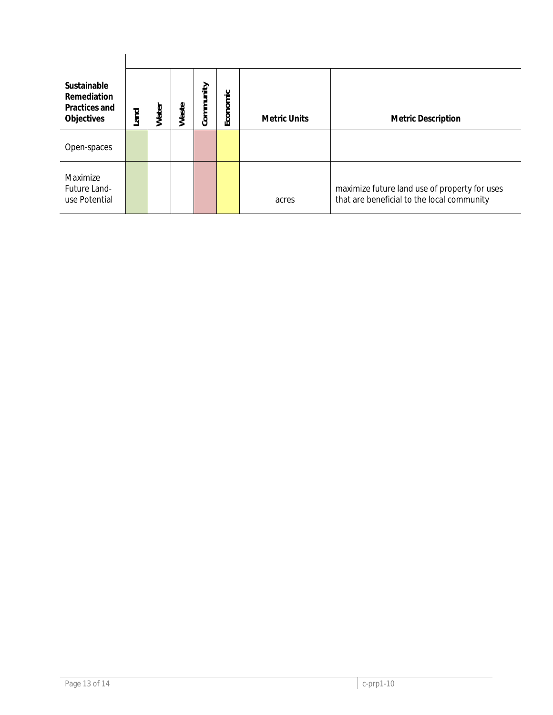| Sustainable<br>Remediation<br>Practices and<br>Objectives | Land | Water | Waste | Community | Economic | <b>Metric Units</b> | <b>Metric Description</b>                                                                   |
|-----------------------------------------------------------|------|-------|-------|-----------|----------|---------------------|---------------------------------------------------------------------------------------------|
| Open-spaces                                               |      |       |       |           |          |                     |                                                                                             |
| Maximize<br>Future Land-<br>use Potential                 |      |       |       |           |          | acres               | maximize future land use of property for uses<br>that are beneficial to the local community |